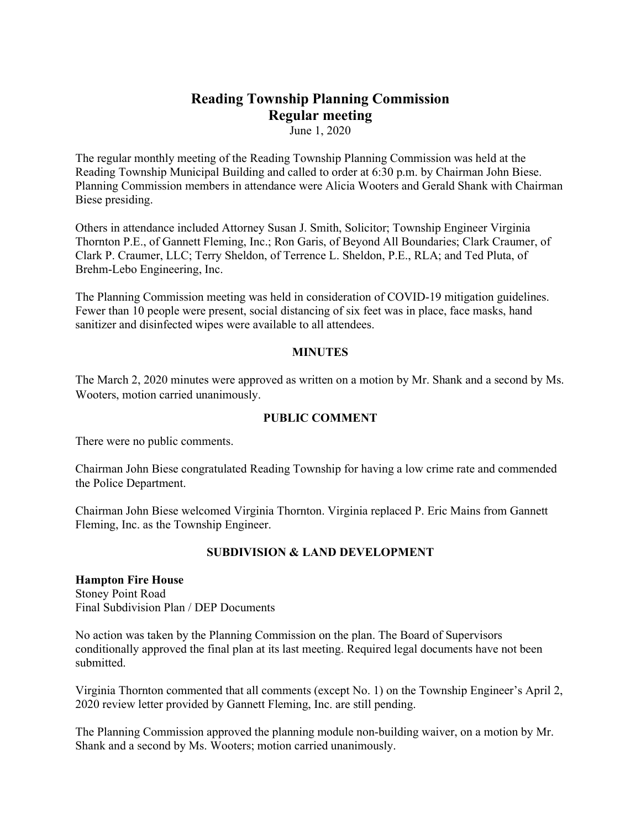# **Reading Township Planning Commission Regular meeting**

June 1, 2020

The regular monthly meeting of the Reading Township Planning Commission was held at the Reading Township Municipal Building and called to order at 6:30 p.m. by Chairman John Biese. Planning Commission members in attendance were Alicia Wooters and Gerald Shank with Chairman Biese presiding.

Others in attendance included Attorney Susan J. Smith, Solicitor; Township Engineer Virginia Thornton P.E., of Gannett Fleming, Inc.; Ron Garis, of Beyond All Boundaries; Clark Craumer, of Clark P. Craumer, LLC; Terry Sheldon, of Terrence L. Sheldon, P.E., RLA; and Ted Pluta, of Brehm-Lebo Engineering, Inc.

The Planning Commission meeting was held in consideration of COVID-19 mitigation guidelines. Fewer than 10 people were present, social distancing of six feet was in place, face masks, hand sanitizer and disinfected wipes were available to all attendees.

#### **MINUTES**

The March 2, 2020 minutes were approved as written on a motion by Mr. Shank and a second by Ms. Wooters, motion carried unanimously.

#### **PUBLIC COMMENT**

There were no public comments.

Chairman John Biese congratulated Reading Township for having a low crime rate and commended the Police Department.

Chairman John Biese welcomed Virginia Thornton. Virginia replaced P. Eric Mains from Gannett Fleming, Inc. as the Township Engineer.

### **SUBDIVISION & LAND DEVELOPMENT**

## **Hampton Fire House**

Stoney Point Road Final Subdivision Plan / DEP Documents

No action was taken by the Planning Commission on the plan. The Board of Supervisors conditionally approved the final plan at its last meeting. Required legal documents have not been submitted.

Virginia Thornton commented that all comments (except No. 1) on the Township Engineer's April 2, 2020 review letter provided by Gannett Fleming, Inc. are still pending.

The Planning Commission approved the planning module non-building waiver, on a motion by Mr. Shank and a second by Ms. Wooters; motion carried unanimously.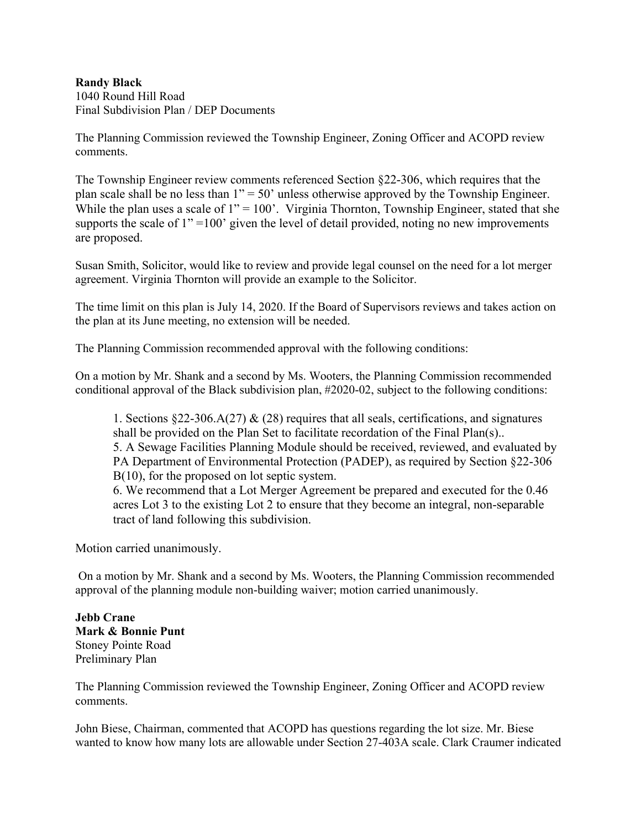## **Randy Black**

1040 Round Hill Road Final Subdivision Plan / DEP Documents

The Planning Commission reviewed the Township Engineer, Zoning Officer and ACOPD review comments.

The Township Engineer review comments referenced Section §22-306, which requires that the plan scale shall be no less than  $1" = 50"$  unless otherwise approved by the Township Engineer. While the plan uses a scale of  $1" = 100'$ . Virginia Thornton, Township Engineer, stated that she supports the scale of  $1" =100'$  given the level of detail provided, noting no new improvements are proposed.

Susan Smith, Solicitor, would like to review and provide legal counsel on the need for a lot merger agreement. Virginia Thornton will provide an example to the Solicitor.

The time limit on this plan is July 14, 2020. If the Board of Supervisors reviews and takes action on the plan at its June meeting, no extension will be needed.

The Planning Commission recommended approval with the following conditions:

On a motion by Mr. Shank and a second by Ms. Wooters, the Planning Commission recommended conditional approval of the Black subdivision plan, #2020-02, subject to the following conditions:

1. Sections §22-306.A(27) & (28) requires that all seals, certifications, and signatures shall be provided on the Plan Set to facilitate recordation of the Final Plan(s).. 5. A Sewage Facilities Planning Module should be received, reviewed, and evaluated by PA Department of Environmental Protection (PADEP), as required by Section §22-306 B(10), for the proposed on lot septic system.

6. We recommend that a Lot Merger Agreement be prepared and executed for the 0.46 acres Lot 3 to the existing Lot 2 to ensure that they become an integral, non-separable tract of land following this subdivision.

Motion carried unanimously.

On a motion by Mr. Shank and a second by Ms. Wooters, the Planning Commission recommended approval of the planning module non-building waiver; motion carried unanimously.

**Jebb Crane Mark & Bonnie Punt** Stoney Pointe Road Preliminary Plan

The Planning Commission reviewed the Township Engineer, Zoning Officer and ACOPD review comments.

John Biese, Chairman, commented that ACOPD has questions regarding the lot size. Mr. Biese wanted to know how many lots are allowable under Section 27-403A scale. Clark Craumer indicated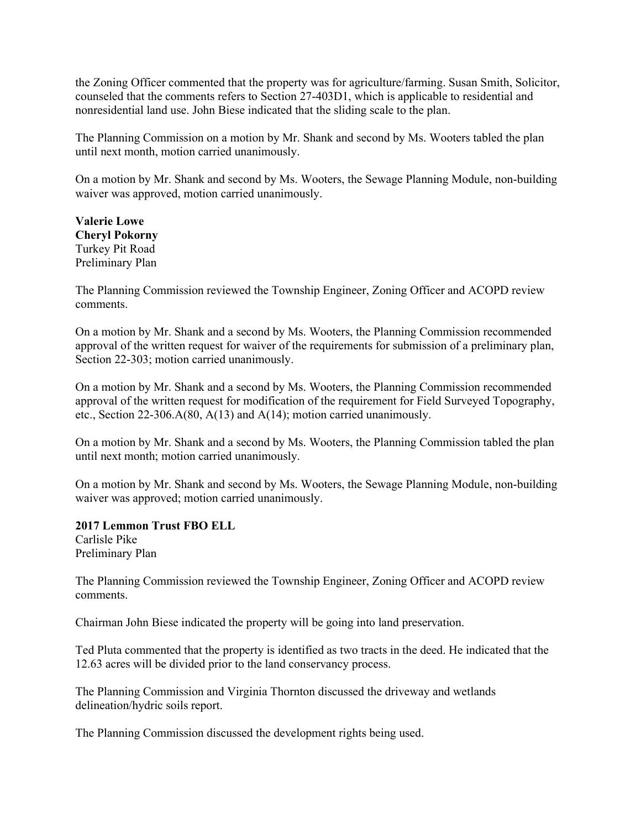the Zoning Officer commented that the property was for agriculture/farming. Susan Smith, Solicitor, counseled that the comments refers to Section 27-403D1, which is applicable to residential and nonresidential land use. John Biese indicated that the sliding scale to the plan.

The Planning Commission on a motion by Mr. Shank and second by Ms. Wooters tabled the plan until next month, motion carried unanimously.

On a motion by Mr. Shank and second by Ms. Wooters, the Sewage Planning Module, non-building waiver was approved, motion carried unanimously.

**Valerie Lowe Cheryl Pokorny** Turkey Pit Road Preliminary Plan

The Planning Commission reviewed the Township Engineer, Zoning Officer and ACOPD review comments.

On a motion by Mr. Shank and a second by Ms. Wooters, the Planning Commission recommended approval of the written request for waiver of the requirements for submission of a preliminary plan, Section 22-303; motion carried unanimously.

On a motion by Mr. Shank and a second by Ms. Wooters, the Planning Commission recommended approval of the written request for modification of the requirement for Field Surveyed Topography, etc., Section 22-306.A(80, A(13) and A(14); motion carried unanimously.

On a motion by Mr. Shank and a second by Ms. Wooters, the Planning Commission tabled the plan until next month; motion carried unanimously.

On a motion by Mr. Shank and second by Ms. Wooters, the Sewage Planning Module, non-building waiver was approved; motion carried unanimously.

#### **2017 Lemmon Trust FBO ELL**

Carlisle Pike Preliminary Plan

The Planning Commission reviewed the Township Engineer, Zoning Officer and ACOPD review comments.

Chairman John Biese indicated the property will be going into land preservation.

Ted Pluta commented that the property is identified as two tracts in the deed. He indicated that the 12.63 acres will be divided prior to the land conservancy process.

The Planning Commission and Virginia Thornton discussed the driveway and wetlands delineation/hydric soils report.

The Planning Commission discussed the development rights being used.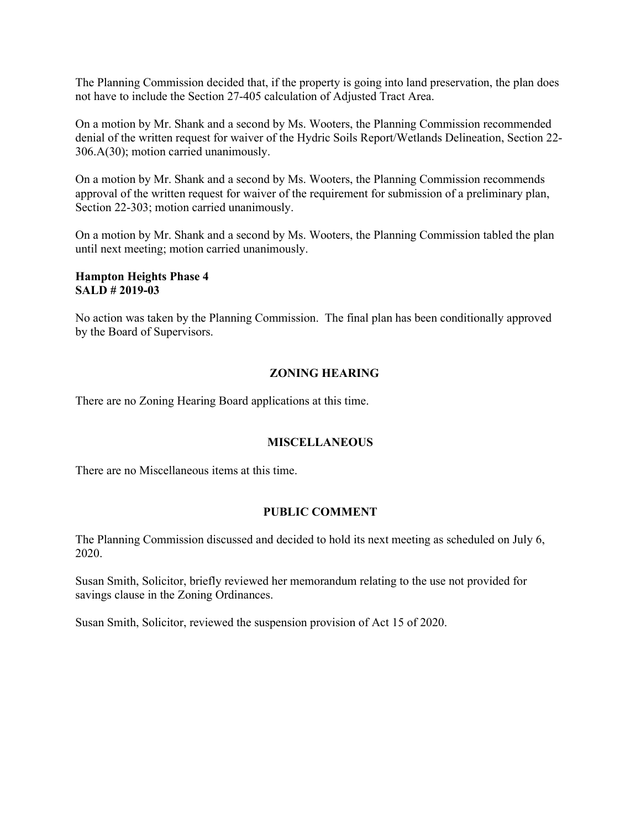The Planning Commission decided that, if the property is going into land preservation, the plan does not have to include the Section 27-405 calculation of Adjusted Tract Area.

On a motion by Mr. Shank and a second by Ms. Wooters, the Planning Commission recommended denial of the written request for waiver of the Hydric Soils Report/Wetlands Delineation, Section 22- 306.A(30); motion carried unanimously.

On a motion by Mr. Shank and a second by Ms. Wooters, the Planning Commission recommends approval of the written request for waiver of the requirement for submission of a preliminary plan, Section 22-303; motion carried unanimously.

On a motion by Mr. Shank and a second by Ms. Wooters, the Planning Commission tabled the plan until next meeting; motion carried unanimously.

#### **Hampton Heights Phase 4 SALD # 2019-03**

No action was taken by the Planning Commission. The final plan has been conditionally approved by the Board of Supervisors.

## **ZONING HEARING**

There are no Zoning Hearing Board applications at this time.

## **MISCELLANEOUS**

There are no Miscellaneous items at this time.

## **PUBLIC COMMENT**

The Planning Commission discussed and decided to hold its next meeting as scheduled on July 6, 2020.

Susan Smith, Solicitor, briefly reviewed her memorandum relating to the use not provided for savings clause in the Zoning Ordinances.

Susan Smith, Solicitor, reviewed the suspension provision of Act 15 of 2020.